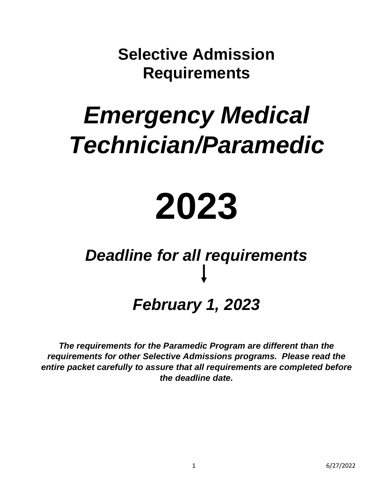**Selective Admission Requirements**

### *Emergency Medical Technician/Paramedic*

# **2023**

## *Deadline for all requirements*

### *February 1, 2023*

*The requirements for the Paramedic Program are different than the requirements for other Selective Admissions programs. Please read the entire packet carefully to assure that all requirements are completed before the deadline date.*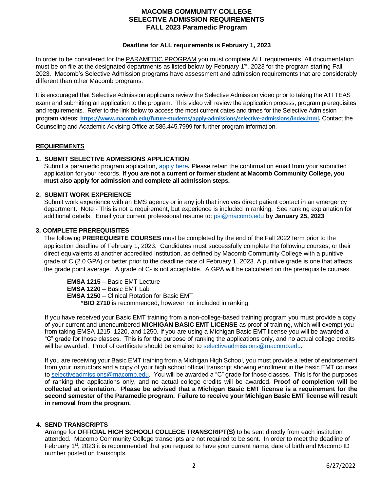#### **MACOMB COMMUNITY COLLEGE SELECTIVE ADMISSION REQUIREMENTS FALL 2023 Paramedic Program**

#### **Deadline for ALL requirements is February 1, 2023**

In order to be considered for the PARAMEDIC PROGRAM you must complete ALL requirements. All documentation must be on file at the designated departments as listed below by February 1<sup>st</sup>, 2023 for the program starting Fall 2023. Macomb's Selective Admission programs have assessment and admission requirements that are considerably different than other Macomb programs.

It is encouraged that Selective Admission applicants review the Selective Admission video prior to taking the ATI TEAS exam and submitting an application to the program. This video will review the application process, program prerequisites and requirements. Refer to the link below to access the most current dates and times for the Selective Admission program videos: **[https://www.macomb.edu/future-students/apply-admissions/selective-admissions/index.html.](https://www.macomb.edu/future-students/apply-admissions/selective-admissions/index.html)** Contact the Counseling and Academic Advising Office at 586.445.7999 for further program information.

#### **REQUIREMENTS**

#### **1. SUBMIT SELECTIVE ADMISSIONS APPLICATION**

Submit a paramedic program application, [apply](https://app.perfectforms.com/PresentationServer/Form.aspx/Play/Bn0GggIk?f=Bn0GggIk) here**.** Please retain the confirmation email from your submitted application for your records. **If you are not a current or former student at Macomb Community College, you must also apply for admission and complete all admission steps.**

#### **2. SUBMIT WORK EXPERIENCE**

Submit work experience with an EMS agency or in any job that involves direct patient contact in an emergency department. Note - This is not a requirement, but experience is included in ranking. See ranking explanation for additional details. Email your current professional resume to: [psi@macomb.edu](mailto:psi@macomb.edu) **by January 25, 2023**

#### **3. COMPLETE PREREQUISITES**

The following **PREREQUISITE COURSES** must be completed by the end of the Fall 2022 term prior to the application deadline of February 1, 2023. Candidates must successfully complete the following courses, or their direct equivalents at another accredited institution, as defined by Macomb Community College with a punitive grade of C (2.0 GPA) or better prior to the deadline date of February 1, 2023. A punitive grade is one that affects the grade point average. A grade of C- is not acceptable. A GPA will be calculated on the prerequisite courses.

**EMSA 1215** – Basic EMT Lecture **EMSA 1220** – Basic EMT Lab **EMSA 1250** – Clinical Rotation for Basic EMT \***BIO 2710** is recommended, however not included in ranking.

If you have received your Basic EMT training from a non-college-based training program you must provide a copy of your current and unencumbered **MICHIGAN BASIC EMT LICENSE** as proof of training, which will exempt you from taking EMSA 1215, 1220, and 1250. If you are using a Michigan Basic EMT license you will be awarded a "C" grade for those classes. This is for the purpose of ranking the applications only, and no actual college credits will be awarded. Proof of certificate should be emailed t[o selectiveadmissions@macomb.edu.](mailto:selectiveadmissions@macomb.edu)

If you are receiving your Basic EMT training from a Michigan High School, you must provide a letter of endorsement from your instructors and a copy of your high school official transcript showing enrollment in the basic EMT courses to [selectiveadmissions@macomb.edu.](mailto:selectiveadmissions@macomb.edu) You will be awarded a "C" grade for those classes. This is for the purposes of ranking the applications only, and no actual college credits will be awarded. **Proof of completion will be collected at orientation. Please be advised that a Michigan Basic EMT license is a requirement for the second semester of the Paramedic program. Failure to receive your Michigan Basic EMT license will result in removal from the program.** 

#### **4. SEND TRANSCRIPTS**

Arrange for **OFFICIAL HIGH SCHOOL/ COLLEGE TRANSCRIPT(S)** to be sent directly from each institution attended. Macomb Community College transcripts are not required to be sent. In order to meet the deadline of February 1<sup>st</sup>, 2023 it is recommended that you request to have your current name, date of birth and Macomb ID number posted on transcripts.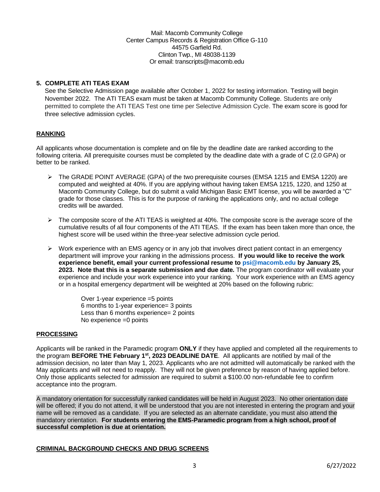Mail: Macomb Community College Center Campus Records & Registration Office G-110 44575 Garfield Rd. Clinton Twp., MI 48038-1139 Or email: transcripts@macomb.edu

#### **5. COMPLETE ATI TEAS EXAM**

See the Selective Admission page available after October 1, 2022 for testing information. Testing will begin November 2022. The ATI TEAS exam must be taken at Macomb Community College. Students are only permitted to complete the ATI TEAS Test one time per Selective Admission Cycle. The exam score is good for three selective admission cycles.

#### **RANKING**

All applicants whose documentation is complete and on file by the deadline date are ranked according to the following criteria. All prerequisite courses must be completed by the deadline date with a grade of C (2.0 GPA) or better to be ranked.

- ➢ The GRADE POINT AVERAGE (GPA) of the two prerequisite courses (EMSA 1215 and EMSA 1220) are computed and weighted at 40%. If you are applying without having taken EMSA 1215, 1220, and 1250 at Macomb Community College, but do submit a valid Michigan Basic EMT license, you will be awarded a "C" grade for those classes. This is for the purpose of ranking the applications only, and no actual college credits will be awarded.
- $\triangleright$  The composite score of the ATI TEAS is weighted at 40%. The composite score is the average score of the cumulative results of all four components of the ATI TEAS. If the exam has been taken more than once, the highest score will be used within the three-year selective admission cycle period.
- $\triangleright$  Work experience with an EMS agency or in any job that involves direct patient contact in an emergency department will improve your ranking in the admissions process. **If you would like to receive the work experience benefit, email your current professional resume t[o psi@macomb.edu](mailto:psi@macomb.edu) by January 25, 2023. Note that this is a separate submission and due date.** The program coordinator will evaluate your experience and include your work experience into your ranking. Your work experience with an EMS agency or in a hospital emergency department will be weighted at 20% based on the following rubric:

Over 1-year experience =5 points 6 months to 1-year experience= 3 points Less than 6 months experience= 2 points No experience =0 points

#### **PROCESSING**

Applicants will be ranked in the Paramedic program **ONLY** if they have applied and completed all the requirements to the program **BEFORE THE February 1st , 2023 DEADLINE DATE**. All applicants are notified by mail of the admission decision, no later than May 1, 2023. Applicants who are not admitted will automatically be ranked with the May applicants and will not need to reapply. They will not be given preference by reason of having applied before. Only those applicants selected for admission are required to submit a \$100.00 non-refundable fee to confirm acceptance into the program.

A mandatory orientation for successfully ranked candidates will be held in August 2023. No other orientation date will be offered; if you do not attend, it will be understood that you are not interested in entering the program and your name will be removed as a candidate. If you are selected as an alternate candidate, you must also attend the mandatory orientation. **For students entering the EMS-Paramedic program from a high school, proof of successful completion is due at orientation.**

#### **CRIMINAL BACKGROUND CHECKS AND DRUG SCREENS**